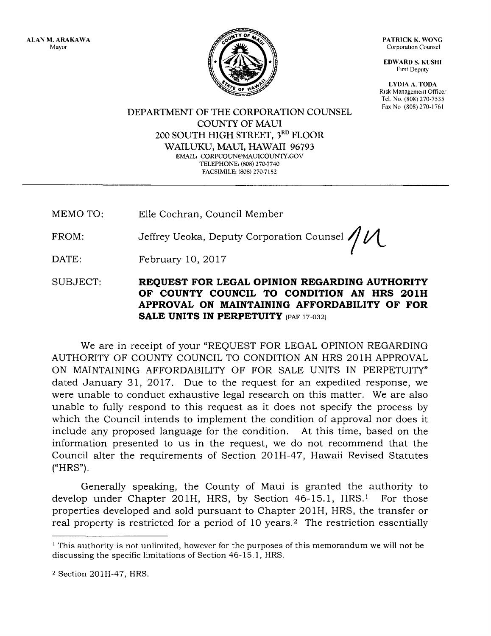PATRICK K. WONG Corporation Counsel

**EDWARD S. KUSHI** Frrst Deputy

LYDIA A. TODA Rtsk Management Officer Tel. No. (808) 270-7535<br>Fax No (808) 270-1761

DEPARTMENT OF THE CORPORATION COUNSEL COUNTY OF MAUI 200 SOUTH HIGH STREET, 3RD FLOOR WAILUKU, MAUI, HAWAII 96793 EMAIL: CORPCOUN@MAUICOUNTY.GOV TELEPHONE: (808) 270-7740 FACSIMILE: (808) 270-7152

MEMO TO: Elle Cochran, Council Member

FROM: Jeffrey Ueoka, Deputy Corporation Counsel  $\mathcal{U}$ 

DATE: February lO,2OL7

SUBJECT: REQUEST FOR LEGAL OPINION REGARDING AUTHORITY OF COUNTY COUNCIL TO CONDITION AN HRS 2O1H APPROVAL ON MAINTAINING AFFORDABILITY OF FOR SALE UNITS IN PERPETUITY (PAF 17-032)

We are in receipt of your "REQUEST FOR LEGAL OPINION REGARDING AUTHORITY OF COUNTY COUNCIL TO CONDITION AN HRS 2O1H APPROVAL ON MAINTAINING AFFORDABILITY OF FOR SALE UNITS IN PERPETUITY" dated January 31,2017. Due to the request for an expedited response, we were unable to conduct exhaustive legal research on this matter. We are also unable to fully respond to this request as it does not specify the process by which the Council intends to implement the condition of approval nor does it include any proposed language for the condition. At this time, based on the information presented to us in the request, we do not recommend that the Council alter the requirements of Section 2OlH-47, Hawaii Revised Statutes ("HRS").

Generally speaking, the County of Maui is granted the authority to develop under Chapter 201H, HRS, by Section 46-15.1, HRS.<sup>1</sup> For those properties developed and sold pursuant to Chapter 2O1H, HRS, the transfer or real property is restricted for a period of 10 years.<sup>2</sup> The restriction essentially



<sup>&</sup>lt;sup>1</sup> This authority is not unlimited, however for the purposes of this memorandum we will not be discussing the specific limitations of Section 46-15.1, HRS.

<sup>2</sup> Section 201H-47, HRS.